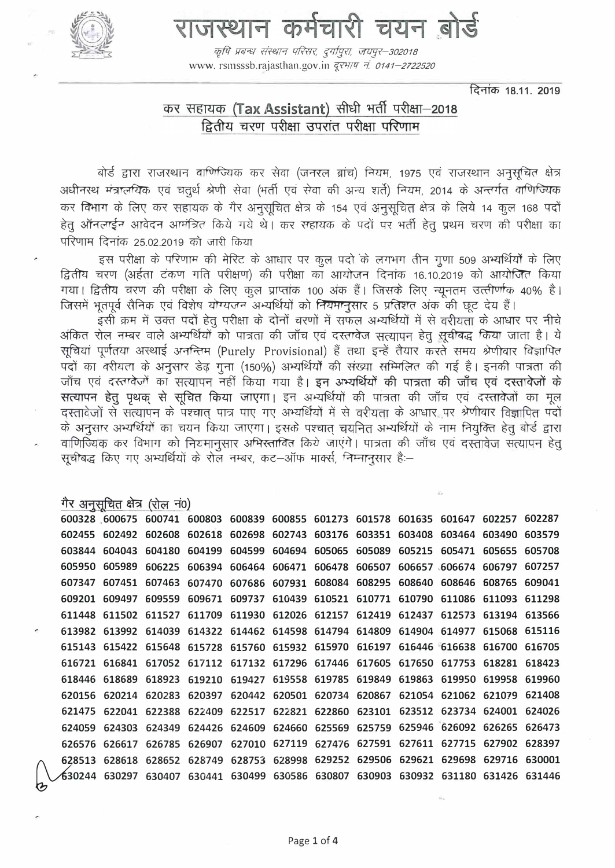

# राजस्थान कर्मचारी चयन बोर्ड

कृषि प्रबन्धः संस्थान परिसरः, दुर्गापुराः, जयपुर–302018 www. rsmsssb.rajasthan.gov.in दूरभाष नं. 0141-2722520

दिनांक 18.11, 2019

## कर सहायक (Tax Assistant) सीधी भर्ती परीक्षा-2018 द्वितीय चरण परीक्षा उपरांत परीक्षा परिणाम

बोर्ड द्वारा राजरथान वाणिज्यिक कर सेवा (जनरल ब्रांच) नियम, 1975 एवं राजरथान अनुसूचित क्षेत्र अधीनस्थ मंत्रालयिक एवं चतुर्थ श्रेणी सेवा (भर्ती एवं सेवा की अन्य शर्ते) नियम, 2014 के अन्तर्गत वाणिज्यिक कर विभाग के लिए कर सहायक के गैर अनुसूचित क्षेत्र के 154 एवं अनुसूचित क्षेत्र के लिये 14 कुल 168 पदों हेतू ऑनलाईन आवेदन आमंत्रित किये गये थे। कर सहायक के पदों पर भर्ती हेतू प्रथम चरण की परीक्षा का परिणाम दिनांक 25.02.2019 को जारी किया

इस परीक्षा के परिणाम की मेरिट के आधार पर कूल पदों के लगभग तीन गुणा 509 अभ्यर्थियों के लिए द्वितीय चरण (अर्हता टंकण गति परीक्षण) की परीक्षा का आयोजन दिनांक 16.10.2019 को आयोजित किया गया। द्वितीय चरण की परीक्षा के लिए कूल प्राप्तांक 100 अंक हैं। जिसके लिए न्यूनतम उत्त्तीर्णाक 40% है। जिसमें भूतपूर्व सैनिक एवं विशेष योग्यजन अभ्यर्थियों को नियमानुसार 5 प्रतिशत अंक की छूट देय हैं।

इसी क्रम में उक्त पदों हेतु परीक्षा के दोनों चरणों में सफल अभ्यर्थियों में से वरीयता के आधार पर नीचे अंकित रोल नम्बर वाले अभ्यर्थियों को पात्रता की जाँच एवं दस्तावेज सत्यापन हेतु सुचीबद्ध किया जाता है। ये सूचियां पूर्णतया अस्थाई अनन्तिम (Purely Provisional) हैं तथा इन्हें तैयार करते समय श्रेणीवार विज्ञापित पदों का वरीयता के अनुसार डेढ़ गुना (150%) अभ्यर्थियों की संख्या सम्मिलित की गई है। इनकी पात्रता की जाँच एवं दस्तावेजों का सत्यापन नहीं किया गया है। इन अभ्यर्थियों की पात्रता की जाँच एवं दस्तावेजों के सत्यापन हेतु पृथक से सुचित किया जाएगा। इन अभ्यर्थियों की पात्रता की जाँच एवं दस्तावेजों का मूल दस्तावेजों से सत्यापन के पश्चात पात्र पाए गए अभ्यर्थियों में से वरीयता के आधार पर श्रेणीवार विज्ञापित पदों के अनुसार अभ्यर्थियों का चयन किया जाएगा। इसके पश्चात चयनित अभ्यर्थियों के नाम नियुक्ति हेतु बोर्ड द्वारा वाणिज्यिक कर विभाग को नियमानुसार अभिरतावित किये जाएंगे। पात्रता की जाँच एवं दरतावेज सत्यापन हेतु सूचीबद्ध किए गए अभ्यर्थियों के रोल नम्बर, कट-ऑफ मार्क्स, निम्नानुसार हैं:--

#### गैर अनुसूचित क्षेत्र (रोल नं0)

|        |        |        | 600328 600675 600741 600803 600839 600855 601273 601578 601635 601647 602257 602287    |                                                                |  |  |  |  |
|--------|--------|--------|----------------------------------------------------------------------------------------|----------------------------------------------------------------|--|--|--|--|
|        |        |        | 602455 602492 602608 602618 602698 602743 603176 603351 603408 603464 603490 603579    |                                                                |  |  |  |  |
| 603844 | 604043 |        | 604180 604199 604599 604694 605065 605089 605215 605471 605655 605708                  |                                                                |  |  |  |  |
| 605950 | 605989 | 606225 |                                                                                        | 606394 606464 606471 606478 606507 606657 606674 606797 607257 |  |  |  |  |
|        |        |        | 607347 607451 607463 607470 607686 607931 608084 608295 608640 608646 608765 609041    |                                                                |  |  |  |  |
|        |        |        | 609201 609497 609559 609671 609737 610439 610521 610771 610790 611086 611093 611298    |                                                                |  |  |  |  |
|        |        |        | 611448 611502 611527 611709 611930 612026 612157 612419 612437 612573 613194 613566    |                                                                |  |  |  |  |
|        |        |        | 613982 613992 614039 614322 614462 614598 614794 614809 614904 614977 615068 615116    |                                                                |  |  |  |  |
|        |        |        | 615143 615422 615648 615728 615760 615932 615970 616197 616446 616638 616700 616705    |                                                                |  |  |  |  |
|        |        |        | 616721 616841 617052 617112 617132 617296 617446 617605 617650 617753 618281 618423    |                                                                |  |  |  |  |
|        |        |        | 618446 618689 618923 619210 619427 619558 619785 619849 619863 619950 619958 619960    |                                                                |  |  |  |  |
|        |        |        | 620156 620214 620283 620397 620442 620501 620734 620867 621054 621062 621079 621408    |                                                                |  |  |  |  |
|        |        |        | 621475 622041 622388 622409 622517 622821 622860 623101 623512 623734 624001 624026    |                                                                |  |  |  |  |
|        |        |        | 624059 624303 624349 624426 624609 624660 625569 625759 625946 626092 626265 626473    |                                                                |  |  |  |  |
|        |        |        | 626576 626617 626785 626907 627010 627119 627476 627591 627611 627715 627902 628397    |                                                                |  |  |  |  |
|        |        |        | 628513 628618 628652 628749 628753 628998 629252 629506 629621 629698 629716 630001    |                                                                |  |  |  |  |
|        |        |        | 630244 630297 630407 630441 630499 630586 630807 630903 630932 631180 631426 631446 مح |                                                                |  |  |  |  |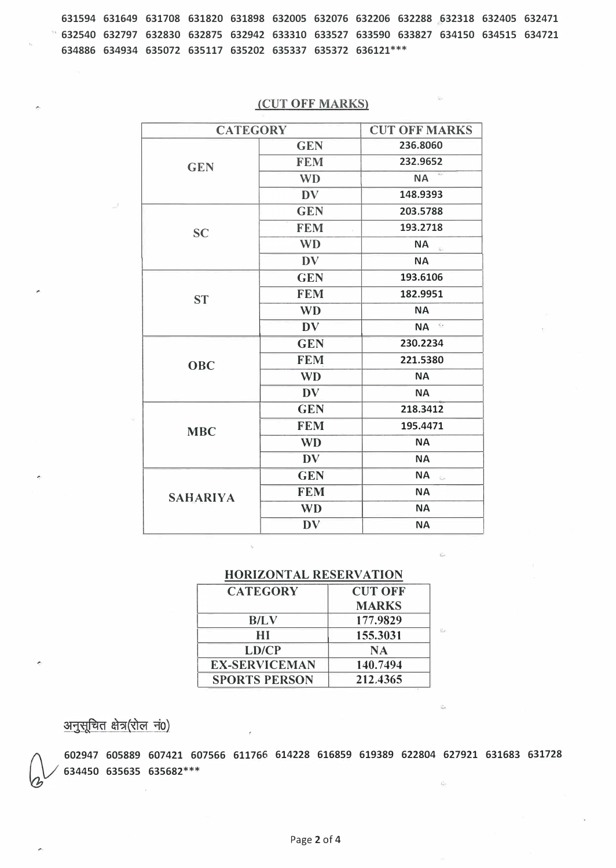631594 631649 631708 631820 631898 632005 632076 632206 632288 632318 632405 632471 ' 632540 632797 632830 632875 632942 633310 633527 633590 633827 634150 634515 634721 634886 634934 635072 635117 635202 635337 635372 636121 \*\*\*

| <b>CATEGORY</b> | <b>CUT OFF MARKS</b> |                                              |  |  |
|-----------------|----------------------|----------------------------------------------|--|--|
|                 | <b>GEN</b>           | 236.8060                                     |  |  |
| <b>GEN</b>      | <b>FEM</b>           | 232.9652                                     |  |  |
|                 | <b>WD</b>            | <b>NA</b>                                    |  |  |
|                 | <b>DV</b>            | 148.9393                                     |  |  |
|                 | <b>GEN</b>           | 203.5788                                     |  |  |
| <b>SC</b>       | <b>FEM</b>           | 193.2718                                     |  |  |
|                 | <b>WD</b>            | <b>NA</b><br>$\frac{11}{24}$                 |  |  |
|                 | <b>DV</b>            | <b>NA</b>                                    |  |  |
|                 | <b>GEN</b>           | 193.6106                                     |  |  |
| <b>ST</b>       | <b>FEM</b>           | 182.9951                                     |  |  |
|                 | <b>WD</b>            | <b>NA</b>                                    |  |  |
|                 | <b>DV</b>            | ç,<br><b>NA</b>                              |  |  |
|                 | <b>GEN</b>           | 230.2234                                     |  |  |
| <b>OBC</b>      | <b>FEM</b>           | 221.5380                                     |  |  |
|                 | <b>WD</b>            | <b>NA</b>                                    |  |  |
|                 | <b>DV</b>            | <b>NA</b>                                    |  |  |
|                 | <b>GEN</b>           | 218.3412                                     |  |  |
| <b>MBC</b>      | <b>FEM</b>           | 195.4471                                     |  |  |
|                 | <b>WD</b>            | <b>NA</b>                                    |  |  |
|                 | <b>DV</b>            | <b>NA</b>                                    |  |  |
|                 | <b>GEN</b>           | <b>NA</b><br>$\overline{\chi}_{\alpha\beta}$ |  |  |
| <b>SAHARIYA</b> | <b>FEM</b>           | <b>NA</b>                                    |  |  |
|                 | <b>WD</b>            | <b>NA</b>                                    |  |  |
|                 | <b>DV</b>            | <b>NA</b>                                    |  |  |

## (CUT OFF MARKS)

### HORIZONTAL RESERVATION

| <b>CATEGORY</b>      | <b>CUT OFF</b> |
|----------------------|----------------|
|                      | <b>MARKS</b>   |
| <b>B/LV</b>          | 177.9829       |
| НI                   | 155.3031       |
| LD/CP                | <b>NA</b>      |
| <b>EX-SERVICEMAN</b> | 140.7494       |
| <b>SPORTS PERSON</b> | 212.4365       |

अनुसूचित क्षेत्र(रोल नं0)

(\ / 602947 605889 607421 607566 611766 614228 616859 619389 622804 627921 631683 631728 l&v 634450 635635 635682\*\*\*